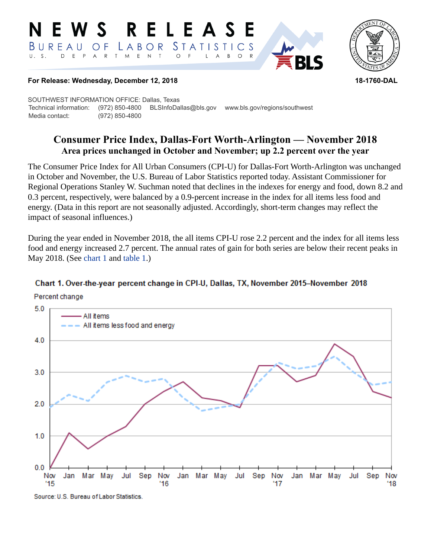#### RELEASE E W S *STATISTICS* BUREAU  $\overline{O}$  F LABOR D E P  $\mathsf{R}$  $T$  $M_{\odot}$  $E$  N  $\top$  $U. S.$  $A$  $\circ$ B  $\circ$ A



#### **For Release: Wednesday, December 12, 2018 18-1760-DAL**

SOUTHWEST INFORMATION OFFICE: Dallas, Texas Technical information: (972) 850-4800 BLSInfoDallas@bls.gov www.bls.gov/regions/southwest Media contact: (972) 850-4800

# **Consumer Price Index, Dallas-Fort Worth-Arlington — November 2018 Area prices unchanged in October and November; up 2.2 percent over the year**

The Consumer Price Index for All Urban Consumers (CPI-U) for Dallas-Fort Worth-Arlington was unchanged in October and November, the U.S. Bureau of Labor Statistics reported today. Assistant Commissioner for Regional Operations Stanley W. Suchman noted that declines in the indexes for energy and food, down 8.2 and 0.3 percent, respectively, were balanced by a 0.9-percent increase in the index for all items less food and energy. (Data in this report are not seasonally adjusted. Accordingly, short-term changes may reflect the impact of seasonal influences.)

During the year ended in November 2018, the all items CPI-U rose 2.2 percent and the index for all items less food and energy increased 2.7 percent. The annual rates of gain for both series are below their recent peaks in May 2018. (See [chart 1](#page-0-0) and [table 1.](#page-3-0))

## <span id="page-0-0"></span>Chart 1. Over-the-year percent change in CPI-U, Dallas, TX, November 2015-November 2018





Source: U.S. Bureau of Labor Statistics.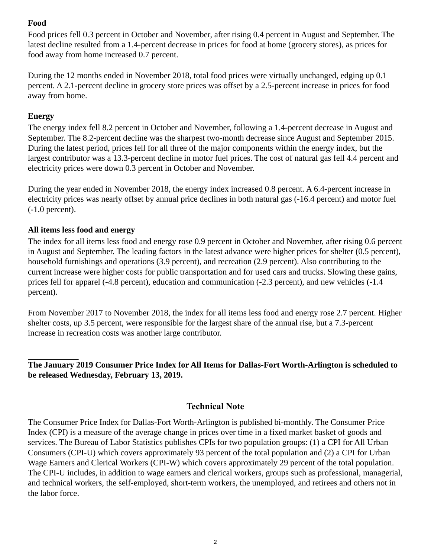## **Food**

Food prices fell 0.3 percent in October and November, after rising 0.4 percent in August and September. The latest decline resulted from a 1.4-percent decrease in prices for food at home (grocery stores), as prices for food away from home increased 0.7 percent.

During the 12 months ended in November 2018, total food prices were virtually unchanged, edging up 0.1 percent. A 2.1-percent decline in grocery store prices was offset by a 2.5-percent increase in prices for food away from home.

#### **Energy**

The energy index fell 8.2 percent in October and November, following a 1.4-percent decrease in August and September. The 8.2-percent decline was the sharpest two-month decrease since August and September 2015. During the latest period, prices fell for all three of the major components within the energy index, but the largest contributor was a 13.3-percent decline in motor fuel prices. The cost of natural gas fell 4.4 percent and electricity prices were down 0.3 percent in October and November.

During the year ended in November 2018, the energy index increased 0.8 percent. A 6.4-percent increase in electricity prices was nearly offset by annual price declines in both natural gas (-16.4 percent) and motor fuel (-1.0 percent).

## **All items less food and energy**

The index for all items less food and energy rose 0.9 percent in October and November, after rising 0.6 percent in August and September. The leading factors in the latest advance were higher prices for shelter (0.5 percent), household furnishings and operations (3.9 percent), and recreation (2.9 percent). Also contributing to the current increase were higher costs for public transportation and for used cars and trucks. Slowing these gains, prices fell for apparel (-4.8 percent), education and communication (-2.3 percent), and new vehicles (-1.4 percent).

From November 2017 to November 2018, the index for all items less food and energy rose 2.7 percent. Higher shelter costs, up 3.5 percent, were responsible for the largest share of the annual rise, but a 7.3-percent increase in recreation costs was another large contributor.

#### **The January 2019 Consumer Price Index for All Items for Dallas-Fort Worth-Arlington is scheduled to be released Wednesday, February 13, 2019.**

## **Technical Note**

The Consumer Price Index for Dallas-Fort Worth-Arlington is published bi-monthly. The Consumer Price Index (CPI) is a measure of the average change in prices over time in a fixed market basket of goods and services. The Bureau of Labor Statistics publishes CPIs for two population groups: (1) a CPI for All Urban Consumers (CPI-U) which covers approximately 93 percent of the total population and (2) a CPI for Urban Wage Earners and Clerical Workers (CPI-W) which covers approximately 29 percent of the total population. The CPI-U includes, in addition to wage earners and clerical workers, groups such as professional, managerial, and technical workers, the self-employed, short-term workers, the unemployed, and retirees and others not in the labor force.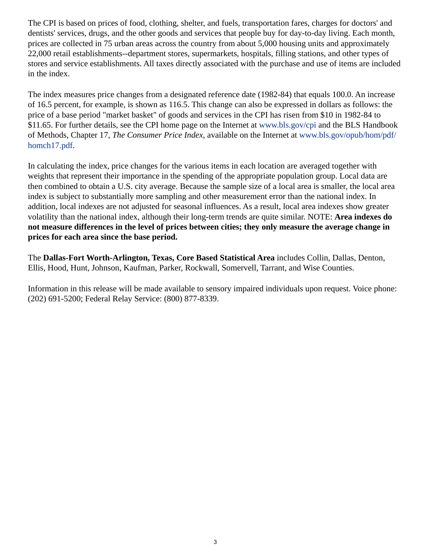The CPI is based on prices of food, clothing, shelter, and fuels, transportation fares, charges for doctors' and dentists' services, drugs, and the other goods and services that people buy for day-to-day living. Each month, prices are collected in 75 urban areas across the country from about 5,000 housing units and approximately 22,000 retail establishments--department stores, supermarkets, hospitals, filling stations, and other types of stores and service establishments. All taxes directly associated with the purchase and use of items are included in the index.

The index measures price changes from a designated reference date (1982-84) that equals 100.0. An increase of 16.5 percent, for example, is shown as 116.5. This change can also be expressed in dollars as follows: the price of a base period "market basket" of goods and services in the CPI has risen from \$10 in 1982-84 to \$11.65. For further details, see the CPI home page on the Internet at [www.bls.gov/cpi](https://www.bls.gov/cpi) and the BLS Handbook of Methods, Chapter 17, *The Consumer Price Index*, available on the Internet at [www.bls.gov/opub/hom/pdf/](https://www.bls.gov/opub/hom/pdf/homch17.pdf) [homch17.pdf](https://www.bls.gov/opub/hom/pdf/homch17.pdf).

In calculating the index, price changes for the various items in each location are averaged together with weights that represent their importance in the spending of the appropriate population group. Local data are then combined to obtain a U.S. city average. Because the sample size of a local area is smaller, the local area index is subject to substantially more sampling and other measurement error than the national index. In addition, local indexes are not adjusted for seasonal influences. As a result, local area indexes show greater volatility than the national index, although their long-term trends are quite similar. NOTE: **Area indexes do not measure differences in the level of prices between cities; they only measure the average change in prices for each area since the base period.**

The **Dallas-Fort Worth-Arlington, Texas, Core Based Statistical Area** includes Collin, Dallas, Denton, Ellis, Hood, Hunt, Johnson, Kaufman, Parker, Rockwall, Somervell, Tarrant, and Wise Counties.

Information in this release will be made available to sensory impaired individuals upon request. Voice phone: (202) 691-5200; Federal Relay Service: (800) 877-8339.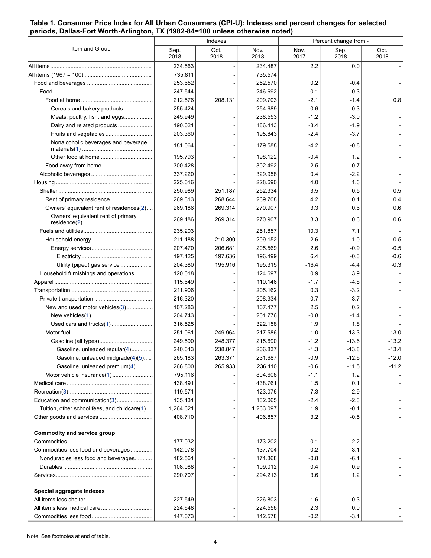#### <span id="page-3-0"></span>**Table 1. Consumer Price Index for All Urban Consumers (CPI-U): Indexes and percent changes for selected periods, Dallas-Fort Worth-Arlington, TX (1982-84=100 unless otherwise noted)**

| Item and Group                               | Indexes      |              |              | Percent change from - |              |              |
|----------------------------------------------|--------------|--------------|--------------|-----------------------|--------------|--------------|
|                                              | Sep.<br>2018 | Oct.<br>2018 | Nov.<br>2018 | Nov.<br>2017          | Sep.<br>2018 | Oct.<br>2018 |
|                                              | 234.563      |              | 234.487      | 2.2                   | 0.0          |              |
|                                              | 735.811      |              | 735.574      |                       |              |              |
|                                              | 253.652      |              | 252.570      | 0.2                   | $-0.4$       |              |
|                                              | 247.544      |              | 246.692      | 0.1                   | $-0.3$       |              |
|                                              | 212.576      | 208.131      | 209.703      | $-2.1$                | $-1.4$       | 0.8          |
| Cereals and bakery products                  | 255.424      |              | 254.689      | $-0.6$                | $-0.3$       |              |
| Meats, poultry, fish, and eggs               | 245.949      |              | 238.553      | $-1.2$                | $-3.0$       |              |
| Dairy and related products                   | 190.021      |              | 186.413      | $-8.4$                | $-1.9$       |              |
| Fruits and vegetables                        | 203.360      |              | 195.843      | $-2.4$                | $-3.7$       |              |
| Nonalcoholic beverages and beverage          | 181.064      |              | 179.588      | $-4.2$                | -0.8         |              |
|                                              | 195.793      |              | 198.122      | -0.4                  | 1.2          |              |
|                                              | 300.428      |              | 302.492      | 2.5                   | 0.7          |              |
|                                              | 337.220      |              | 329.958      | 0.4                   | $-2.2$       |              |
|                                              | 225.016      |              | 228.690      | 4.0                   | 1.6          |              |
|                                              | 250.989      | 251.187      | 252.334      | 35                    | 0.5          | 0.5          |
| Rent of primary residence                    | 269.313      | 268.644      | 269.708      | 4.2                   | 0.1          | 0.4          |
| Owners' equivalent rent of residences(2)     | 269.186      | 269.314      | 270.907      | 3.3                   | 0.6          | 0.6          |
| Owners' equivalent rent of primary           | 269.186      | 269.314      | 270.907      | 3.3                   | 0.6          | 0.6          |
|                                              | 235.203      |              | 251.857      | 10.3                  | 7.1          |              |
|                                              | 211.188      | 210.300      | 209.152      | 2.6                   | $-1.0$       | $-0.5$       |
|                                              | 207.470      | 206.681      | 205.569      | 2.6                   | $-0.9$       | $-0.5$       |
|                                              | 197.125      | 197.636      | 196.499      | 6.4                   | $-0.3$       | $-0.6$       |
| Utility (piped) gas service                  | 204.380      | 195.916      | 195.315      | $-16.4$               | -4.4         | $-0.3$       |
| Household furnishings and operations         | 120.018      |              | 124.697      | 0.9                   | 3.9          |              |
|                                              | 115.649      |              | 110.146      | $-1.7$                | -4.8         |              |
|                                              | 211.906      |              | 205.162      | 0.3                   | $-3.2$       |              |
|                                              | 216.320      |              | 208.334      | 0.7                   | $-3.7$       |              |
| New and used motor vehicles(3)               | 107.283      |              | 107.477      | 2.5                   | 0.2          |              |
|                                              | 204.743      |              | 201.776      | $-0.8$                | $-1.4$       |              |
| Used cars and trucks(1)                      | 316.525      |              | 322.158      | 1.9                   | 1.8          |              |
|                                              | 251.061      | 249.964      | 217.586      | $-1.0$                | $-13.3$      | $-13.0$      |
|                                              | 249.590      | 248.377      | 215.690      | $-1.2$                | $-13.6$      | $-13.2$      |
| Gasoline, unleaded regular(4)                | 240.043      | 238.847      | 206.837      | $-1.3$                | $-13.8$      | $-13.4$      |
| Gasoline, unleaded midgrade(4)(5)            | 265.183      | 263.371      | 231.687      | $-0.9$                | $-12.6$      | $-12.0$      |
| Gasoline, unleaded premium(4)                | 266.800      | 265.933      | 236.110      | $-0.6$                | $-11.5$      | $-11.2$      |
| Motor vehicle insurance(1)                   | 795.116      |              | 804.608      | $-1.1$                | 1.2          |              |
|                                              | 438.491      |              | 438.761      | 1.5                   | 0.1          |              |
|                                              | 119.571      |              | 123.076      | 7.3                   | 2.9          |              |
| Education and communication(3)               | 135.131      |              | 132.065      | $-2.4$                | $-2.3$       |              |
| Tuition, other school fees, and childcare(1) | 1,264.621    |              | 1,263.097    | 1.9                   | $-0.1$       |              |
|                                              | 408.710      |              | 406.857      | 3.2                   | $-0.5$       |              |
| Commodity and service group                  | 177.032      |              | 173.202      | $-0.1$                | $-2.2$       |              |
| Commodities less food and beverages          | 142.078      |              | 137.704      | $-0.2$                | $-3.1$       |              |
| Nondurables less food and beverages          | 182.561      |              | 171.368      | $-0.8$                | $-6.1$       |              |
|                                              | 108.088      |              | 109.012      | 0.4                   | 0.9          |              |
|                                              | 290.707      |              | 294.213      | 3.6                   | 1.2          |              |
| Special aggregate indexes                    |              |              |              |                       |              |              |
|                                              | 227.549      |              | 226.803      | 1.6                   | $-0.3$       |              |
|                                              | 224.648      |              | 224.556      | 2.3                   | 0.0          |              |
|                                              | 147.073      |              | 142.578      | $-0.2$                | $-3.1$       |              |